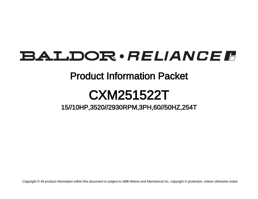# **BALDOR** · RELIANCE F

# Product Information Packet

# CXM251522T

15//10HP,3520//2930RPM,3PH,60//50HZ,254T

Copyright © All product information within this document is subject to ABB Motors and Mechanical Inc. copyright © protection, unless otherwise noted.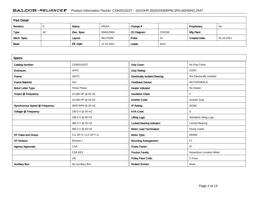# BALDOR · RELIANCE F Product Information Packet: CXM251522T - 15//10HP,3520//2930RPM,3PH,60//50HZ,254T

| <b>Part Detail</b> |           |             |            |             |        |                      |            |  |
|--------------------|-----------|-------------|------------|-------------|--------|----------------------|------------|--|
| Revision:          | D         | Status:     | PRD/A      | Change #:   |        | Proprietary:         | No         |  |
| Type:              | <b>AC</b> | Elec. Spec: | 09WGZ864   | CD Diagram: | CD0180 | Mfg Plant:           |            |  |
| Mech. Spec:        |           | Layout:     | 09LYE689   | Poles:      | 02     | <b>Created Date:</b> | 02-16-2021 |  |
| Base:              |           | Eff. Date:  | 12-10-2021 | Leads:      | 9#12   |                      |            |  |

| <b>Specs</b>                   |                       |                                       |                                 |
|--------------------------------|-----------------------|---------------------------------------|---------------------------------|
| <b>Catalog Number:</b>         | CXM251522T            | Drip Cover:                           | No Drip Cover                   |
| Enclosure:                     | <b>XPFC</b>           | Duty Rating:                          | <b>CONT</b>                     |
| Frame:                         | 254TC                 | <b>Electrically Isolated Bearing:</b> | Not Electrically Isolated       |
| <b>Frame Material:</b>         | Iron                  | <b>Feedback Device:</b>               | NO FEEDBACK                     |
| Motor Letter Type:             | <b>Three Phase</b>    | <b>Heater Indicator:</b>              | No Heater                       |
| Output @ Frequency:            | 15,000 HP @ 60 HZ     | <b>Insulation Class:</b>              | F                               |
|                                | 10.000 HP @ 50 HZ     | <b>Inverter Code:</b>                 | <b>Inverter Duty</b>            |
| Synchronous Speed @ Frequency: | 3600 RPM @ 60 HZ      | IP Rating:                            | <b>NONE</b>                     |
| Voltage @ Frequency:           | 190.0 V @ 50 HZ       | <b>KVA Code:</b>                      | G                               |
|                                | 230.0 V @ 60 HZ       | <b>Lifting Lugs:</b>                  | <b>Standard Lifting Lugs</b>    |
|                                | 380.0 V @ 50 HZ       | Locked Bearing Indicator:             | Locked Bearing                  |
|                                | 460.0 V @ 60 HZ       | <b>Motor Lead Termination:</b>        | <b>Flying Leads</b>             |
| XP Class and Group:            | CLI GP D; CLII GP F,G | Motor Type:                           | 0930M                           |
| <b>XP Division:</b>            | Division I            | <b>Mounting Arrangement:</b>          | F1                              |
| <b>Agency Approvals:</b>       | <b>CSA</b>            | Power Factor:                         | 87                              |
|                                | <b>CSA EEV</b>        | <b>Product Family:</b>                | <b>Hazardous Location Motor</b> |
|                                | <b>UR</b>             | Pulley Face Code:                     | C-Face                          |
| <b>Auxillary Box:</b>          | No Auxillary Box      | <b>Rodent Screen:</b>                 | None                            |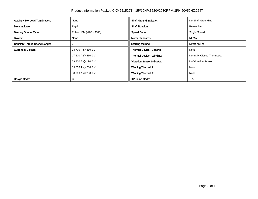| <b>Auxillary Box Lead Termination:</b> | None                    | <b>Shaft Ground Indicator:</b>     | No Shaft Grounding         |
|----------------------------------------|-------------------------|------------------------------------|----------------------------|
| <b>Base Indicator:</b>                 | Rigid                   | <b>Shaft Rotation:</b>             | Reversible                 |
| <b>Bearing Grease Type:</b>            | Polyrex EM (-20F +300F) | <b>Speed Code:</b>                 | Single Speed               |
| Blower:                                | None                    | <b>Motor Standards:</b>            | <b>NEMA</b>                |
| <b>Constant Torque Speed Range:</b>    | 6                       | <b>Starting Method:</b>            | Direct on line             |
| Current @ Voltage:                     | 14.700 A @ 380.0 V      | Thermal Device - Bearing:          | None                       |
|                                        | 17.500 A @ 460.0 V      | Thermal Device - Winding:          | Normally Closed Thermostat |
|                                        | 29.400 A @ 190.0 V      | <b>Vibration Sensor Indicator:</b> | No Vibration Sensor        |
|                                        | 35.000 A @ 230.0 V      | <b>Winding Thermal 1:</b>          | None                       |
|                                        | 38.000 A @ 208.0 V      | <b>Winding Thermal 2:</b>          | None                       |
| Design Code:                           | B                       | <b>XP Temp Code:</b>               | T <sub>3</sub> C           |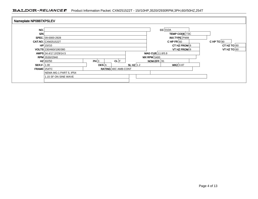## BALDOR · RELIANCE F Product Information Packet: CXM251522T - 15//10HP,3520//2930RPM,3PH,60//50HZ,254T

| Nameplate NP0887XPSLEV |                           |       |                            |            |                  |                                  |                      |  |  |
|------------------------|---------------------------|-------|----------------------------|------------|------------------|----------------------------------|----------------------|--|--|
| NO.                    |                           |       |                            |            |                  |                                  | $CC$ 010A            |  |  |
| SNN                    |                           |       |                            |            |                  |                                  | <b>TEMP CODE T3C</b> |  |  |
|                        | SPEC. 09-0000-2928        |       |                            |            |                  |                                  | INV.TYPE PWM         |  |  |
|                        | <b>CAT.NO. CXM251522T</b> |       |                            |            |                  | CHPFR $ 60 $<br>CHP TO $90$      |                      |  |  |
|                        | $HP$ 15//10               |       |                            |            |                  | CT HZ TO $60$<br>CT HZ FROM $ 6$ |                      |  |  |
|                        | VOLTS 230/460//190/380    |       |                            |            |                  | VT HZ FROM 6<br>VT HZ TO $60$    |                      |  |  |
|                        | AMPS 34.4/17.2//29/14.5   |       |                            |            | MAG CUR 11.8/5.9 |                                  |                      |  |  |
|                        | RPM 3530//2940            |       |                            |            |                  | $MX$ RPM 5400                    |                      |  |  |
|                        | $HZ$ 60//50               | PH 3  | CL F                       |            |                  | NOM.EFF. 91                      |                      |  |  |
| SER.F. 1.00            |                           | DES A |                            | SLHZ $1.2$ |                  |                                  | WK2 0.87             |  |  |
| FRAME 254TC            |                           |       | <b>RATING 40C AMB-CONT</b> |            |                  |                                  |                      |  |  |
|                        | NEMA MG-1 PART 5, IP54    |       |                            |            |                  |                                  |                      |  |  |
|                        | 1.15 SF ON SINE WAVE      |       |                            |            |                  |                                  |                      |  |  |
|                        |                           |       |                            |            |                  |                                  |                      |  |  |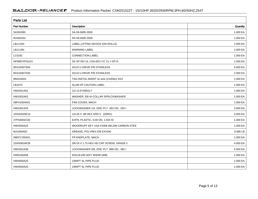| <b>Parts List</b> |                                          |          |  |  |  |  |  |
|-------------------|------------------------------------------|----------|--|--|--|--|--|
| Part Number       | Description                              | Quantity |  |  |  |  |  |
| SA391083          | SA 09-0000-2928                          | 1.000 EA |  |  |  |  |  |
| RA381552          | RA 09-0000-2928                          | 1.000 EA |  |  |  |  |  |
| LB1115N           | LABEL, LIFTING DEVICE (ON ROLLS)         | 1.000 EA |  |  |  |  |  |
| LB1119N           | <b>WARNING LABEL</b>                     | 1.000 EA |  |  |  |  |  |
| LC0181            | <b>CONNECTION LABEL</b>                  | 1.000 EA |  |  |  |  |  |
| NP0887XPSLEV      | SS XP INV UL CSA-EEV CC CL-I GP-D        | 1.000 EA |  |  |  |  |  |
| 85XU0407S04       | 4X1/4 U DRIVE PIN STAINLESS              | 4.000 EA |  |  |  |  |  |
| 85XU0407S04       | 4X1/4 U DRIVE PIN STAINLESS              | 2.000 EA |  |  |  |  |  |
| MN416A01          | TAG-INSTAL-MAINT no wire (2100/bx) 4/22  | 1.000 EA |  |  |  |  |  |
| LB1073            | ALUM XP CAUTION LABEL                    | 1.000 EA |  |  |  |  |  |
| HW3201A01         | 1/2-13 EYEBOLT                           | 1.000 EA |  |  |  |  |  |
| HW1002A63         | WASHER, 5/8 HI-COLLAR SPRLCKWASHER       | 1.000 EA |  |  |  |  |  |
| 09FH1004A01       | FAN COVER, MACH                          | 1.000 EA |  |  |  |  |  |
| HW1001A25         | LOCKWASHER 1/4, ZINC PLT .493 OD, .255 I | 3.000 EA |  |  |  |  |  |
| 10XN2520K14       | 1/4-20 X .88 HEX GRD 5 (20001)           | 3.000 EA |  |  |  |  |  |
| 37FN3002C02       | EXFN, PLASTIC, 6.00 OD, 1.503 ID         | 1.000 EA |  |  |  |  |  |
| HW2500A25         | WOODRUFF KEY USA #1008 #BLOW CARBON STEE | 1.000 EA |  |  |  |  |  |
| MJ1000A02         | GREASE, POLYREX EM EXXON                 | 0.080 LB |  |  |  |  |  |
| 09EP1700A01       | FR ENDPLATE, MACH                        | 1.000 EA |  |  |  |  |  |
| 10XN3816K28       | 3/8-16 X 1.75 HEX HD CAP SCREW, GRADE 5  | 4.000 EA |  |  |  |  |  |
| HW1001A38         | LOCKWASHER 3/8, ZINC PLT .688 OD, .382 I | 4.000 EA |  |  |  |  |  |
| HW5100A08         | W3118-035 WVY WSHR (WB)                  | 1.000 EA |  |  |  |  |  |
| HW4500A20         | 1/8NPT SL PIPE PLUG                      | 1.000 EA |  |  |  |  |  |
| HW4500A20         | 1/8NPT SL PIPE PLUG                      | 1.000 EA |  |  |  |  |  |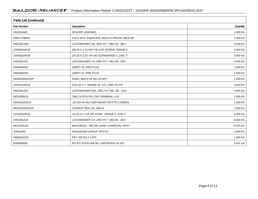| <b>Parts List (continued)</b> |                                            |          |  |  |  |  |
|-------------------------------|--------------------------------------------|----------|--|--|--|--|
| <b>Part Number</b>            | <b>Description</b>                         | Quantity |  |  |  |  |
| HA2002A05                     | SPACER, #208 BRG                           | 1.000 EA |  |  |  |  |
| 09EP1708A02                   | FACE MTD. ENDPLATE, MACH X-PROOF (NEW DE   | 1.000 EA |  |  |  |  |
| HW1001A38                     | LOCKWASHER 3/8, ZINC PLT .688 OD, .382 I   | 4.000 EA |  |  |  |  |
| 10XN3816K28                   | 3/8-16 X 1.75 HEX HD CAP SCREW, GRADE 5    | 4.000 EA |  |  |  |  |
| 10XN2520K36                   | 1/4-20 X 2.25" HX HD SCRWGRADE 5, ZINC P   | 4.000 EA |  |  |  |  |
| HW1001A25                     | LOCKWASHER 1/4, ZINC PLT .493 OD, .255 I   | 4.000 EA |  |  |  |  |
| HW4500A20                     | 1/8NPT SL PIPE PLUG                        | 1.000 EA |  |  |  |  |
| HW4500A20                     | 1/8NPT SL PIPE PLUG                        | 1.000 EA |  |  |  |  |
| 09CB1000A01SP                 | KOBX, MACH XP W/1.25 NPT                   | 1.000 EA |  |  |  |  |
| 10XN3118K16                   | 5/16-18 X 1' GRADE #5, STL, ZINC PLATE     | 4.000 EA |  |  |  |  |
| HW1001A31                     | LOCKWASHER 5/16, ZINC PLT.591 OD, .319 I   | 4.000 EA |  |  |  |  |
| WD1000B16                     | T&B CX70TN OR L70P TERMINAL LUG            | 1.000 EA |  |  |  |  |
| 59XW2520G07                   | .25-20X.44, HEX SER WSHR, TAPTITE 2, GREEN | 1.000 EA |  |  |  |  |
| 09CB1500A01SP                 | CONDUIT BOX LID, MACH                      | 1.000 EA |  |  |  |  |
| 10XN2520K16                   | 1/4-20 X 1" HX HD SCRW GRADE 5, ZINC P     | 6.000 EA |  |  |  |  |
| HW1001A25                     | LOCKWASHER 1/4, ZINC PLT .493 OD, .255 I   | 6.000 EA |  |  |  |  |
| MG1025G29                     | WILKOFAST, 789.229, DARK CHARCOAL GRAY     | 0.070 GA |  |  |  |  |
| 40PA1005                      | PACKAGING GROUP, 09 STD                    | 1.000 EA |  |  |  |  |
| HW2501G25                     | KEY, 3/8 SQ X 2.875                        | 1.000 EA |  |  |  |  |
| MJ5000A09                     | EFI KIT #1578 (400 ML CARTRIDGE OF EFI     | 0.031 EA |  |  |  |  |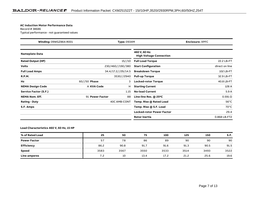#### **AC Induction Motor Performance Data**

Record # 38686Typical performance - not guaranteed values

| Winding: 09WGZ864-R001<br><b>Type: 0934M</b> |                 |                    | <b>Enclosure: XPFC</b>                          |                 |
|----------------------------------------------|-----------------|--------------------|-------------------------------------------------|-----------------|
| <b>Nameplate Data</b>                        |                 |                    | 460 V, 60 Hz:<br><b>High Voltage Connection</b> |                 |
| <b>Rated Output (HP)</b>                     |                 | 15//10             | <b>Full Load Torque</b>                         | 22.2 LB-FT      |
| <b>Volts</b>                                 |                 | 230/460//190/380   | <b>Start Configuration</b>                      | direct on line  |
| <b>Full Load Amps</b>                        |                 | 34.4/17.2//29/14.5 | <b>Breakdown Torque</b>                         | 102 LB-FT       |
| <b>R.P.M.</b>                                |                 | 3530//2940         | <b>Pull-up Torque</b>                           | 32.9 LB-FT      |
| Hz                                           | $60//50$ Phase  | 3                  | Locked-rotor Torque                             | 40.8 LB-FT      |
| <b>NEMA Design Code</b>                      | A KVA Code      | н                  | <b>Starting Current</b>                         | 128 A           |
| <b>Service Factor (S.F.)</b>                 |                 | 1.15               | <b>No-load Current</b>                          | 5.9A            |
| <b>NEMA Nom. Eff.</b>                        | 91 Power Factor | 88                 | Line-line Res. @ 25°C                           | $0.591\,\Omega$ |
| <b>Rating - Duty</b>                         |                 | 40C AMB-CONT       | Temp. Rise @ Rated Load                         | $56^{\circ}$ C  |
| S.F. Amps                                    |                 |                    | Temp. Rise @ S.F. Load                          | $70^{\circ}$ C  |
|                                              |                 |                    | <b>Locked-rotor Power Factor</b>                | 29.4            |
|                                              |                 |                    | Rotor inertia                                   | 0.868 LB-FT2    |

### **Load Characteristics 460 V, 60 Hz, 15 HP**

| % of Rated Load     | 25   | 50   | 75   | 100  | 125  | 150  | S.F. |
|---------------------|------|------|------|------|------|------|------|
| <b>Power Factor</b> | 57   | 78   | 86   | 89   | 90   | 90   | 90   |
| <b>Efficiency</b>   | 86.2 | 90.8 | 91.7 | 91.6 | 91.3 | 90.5 | 91.5 |
| Speed               | 3583 | 3567 | 3550 | 3533 | 3514 | 3493 | 3522 |
| Line amperes        | 7.2  | 10   | 13.4 | 17.2 | 21.2 | 25.6 | 19.6 |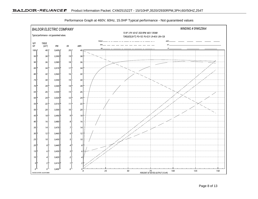

Performance Graph at 460V, 60Hz, 15.0HP Typical performance - Not guaranteed values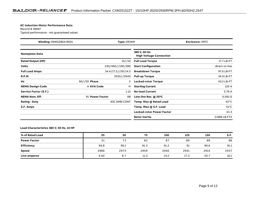#### **AC Induction Motor Performance Data**

Record # 38687Typical performance - not guaranteed values

| Winding: 09WGZ864-R001<br><b>Type: 0934M</b> |                 |                    | <b>Enclosure: XPFC</b>                          |                 |
|----------------------------------------------|-----------------|--------------------|-------------------------------------------------|-----------------|
| <b>Nameplate Data</b>                        |                 |                    | 380 V, 50 Hz:<br><b>High Voltage Connection</b> |                 |
| <b>Rated Output (HP)</b>                     |                 | 15//10             | <b>Full Load Torque</b>                         | 17.7 LB-FT      |
| <b>Volts</b>                                 |                 | 230/460//190/380   | <b>Start Configuration</b>                      | direct on line  |
| <b>Full Load Amps</b>                        |                 | 34.4/17.2//29/14.5 | <b>Breakdown Torque</b>                         | 97.6 LB-FT      |
| <b>R.P.M.</b>                                |                 | 3530//2940         | <b>Pull-up Torque</b>                           | 34.9 LB-FT      |
| Hz                                           | $60//50$ Phase  | 3                  | <b>Locked-rotor Torque</b>                      | 43.2 LB-FT      |
| <b>NEMA Design Code</b>                      | A KVA Code      | н                  | <b>Starting Current</b>                         | 125 A           |
| Service Factor (S.F.)                        |                 | 1.15               | <b>No-load Current</b>                          | 5.79 A          |
| <b>NEMA Nom. Eff.</b>                        | 91 Power Factor | 88                 | Line-line Res. $@$ 25 <sup>o</sup> C            | $0.591\,\Omega$ |
| <b>Rating - Duty</b>                         |                 | 40C AMB-CONT       | Temp. Rise @ Rated Load                         | $42^{\circ}$ C  |
| S.F. Amps                                    |                 |                    | Temp. Rise @ S.F. Load                          | $51^{\circ}$ C  |
|                                              |                 |                    | <b>Locked-rotor Power Factor</b>                | 33.3            |
|                                              |                 |                    | Rotor inertia                                   | 0.868 LB-FT2    |

### **Load Characteristics 380 V, 50 Hz, 10 HP**

| % of Rated Load     | 25   | 50   | 75   | 100  | 125  | 150  | S.F. |
|---------------------|------|------|------|------|------|------|------|
| <b>Power Factor</b> | 51   | 73   | 82   | 87   | 89   | 89   | 88   |
| <b>Efficiency</b>   | 84.8 | 90.1 | 91.3 | 91.2 | 91   | 90.6 | 91.1 |
| Speed               | 2986 | 2973 | 2959 | 2946 | 2931 | 2914 | 2937 |
| Line amperes        | 6.62 | 8.7  | 11.3 | 14.2 | 17.3 | 20.7 | 16.1 |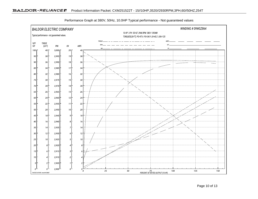

Performance Graph at 380V, 50Hz, 10.0HP Typical performance - Not guaranteed values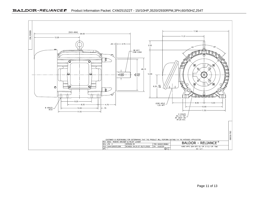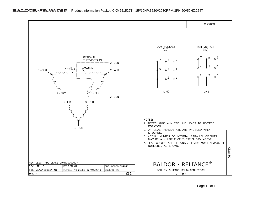